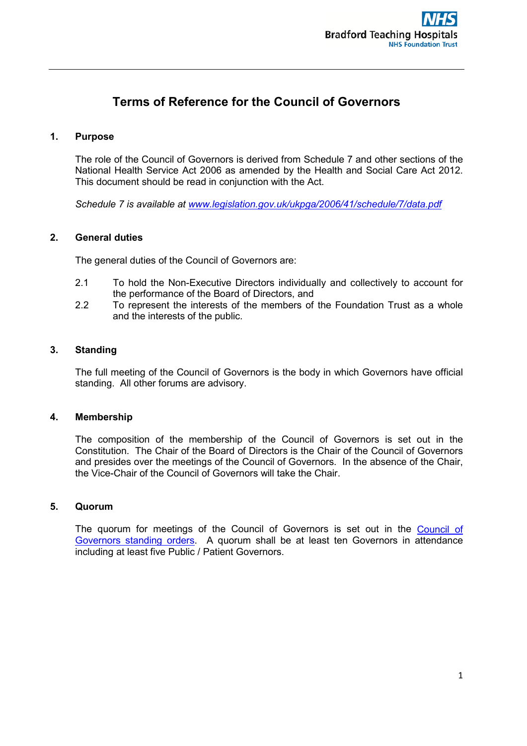# **Terms of Reference for the Council of Governors**

# **1. Purpose**

The role of the Council of Governors is derived from Schedule 7 and other sections of the National Health Service Act 2006 as amended by the Health and Social Care Act 2012. This document should be read in conjunction with the Act.

*Schedule 7 is available at [www.legislation.gov.uk/ukpga/2006/41/schedule/7/data.pdf](http://www.legislation.gov.uk/ukpga/2006/41/schedule/7/data.pdf)*

## **2. General duties**

The general duties of the Council of Governors are:

- 2.1 To hold the Non-Executive Directors individually and collectively to account for the performance of the Board of Directors, and
- 2.2 To represent the interests of the members of the Foundation Trust as a whole and the interests of the public.

# **3. Standing**

The full meeting of the Council of Governors is the body in which Governors have official standing. All other forums are advisory.

#### **4. Membership**

The composition of the membership of the Council of Governors is set out in the Constitution. The Chair of the Board of Directors is the Chair of the Council of Governors and presides over the meetings of the Council of Governors. In the absence of the Chair, the Vice-Chair of the Council of Governors will take the Chair.

# **5. Quorum**

The quorum for meetings of the Council of Governors is set out in the [Council of](https://www.bradfordhospitals.nhs.uk/wp-content/uploads/2021/05/CofG-Standing-Orders-approved-April-2021.pdf)  [Governors standing orders.](https://www.bradfordhospitals.nhs.uk/wp-content/uploads/2021/05/CofG-Standing-Orders-approved-April-2021.pdf) A quorum shall be at least ten Governors in attendance including at least five Public / Patient Governors.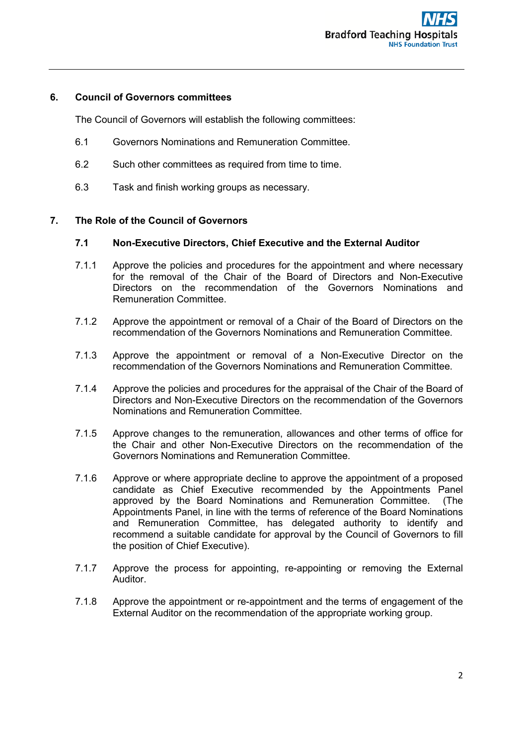# **6. Council of Governors committees**

The Council of Governors will establish the following committees:

- 6.1 Governors Nominations and Remuneration Committee.
- 6.2 Such other committees as required from time to time.
- 6.3 Task and finish working groups as necessary.

## **7. The Role of the Council of Governors**

## **7.1 Non-Executive Directors, Chief Executive and the External Auditor**

- 7.1.1 Approve the policies and procedures for the appointment and where necessary for the removal of the Chair of the Board of Directors and Non-Executive Directors on the recommendation of the Governors Nominations and Remuneration Committee.
- 7.1.2 Approve the appointment or removal of a Chair of the Board of Directors on the recommendation of the Governors Nominations and Remuneration Committee.
- 7.1.3 Approve the appointment or removal of a Non-Executive Director on the recommendation of the Governors Nominations and Remuneration Committee.
- 7.1.4 Approve the policies and procedures for the appraisal of the Chair of the Board of Directors and Non-Executive Directors on the recommendation of the Governors Nominations and Remuneration Committee.
- 7.1.5 Approve changes to the remuneration, allowances and other terms of office for the Chair and other Non-Executive Directors on the recommendation of the Governors Nominations and Remuneration Committee.
- 7.1.6 Approve or where appropriate decline to approve the appointment of a proposed candidate as Chief Executive recommended by the Appointments Panel approved by the Board Nominations and Remuneration Committee. (The Appointments Panel, in line with the terms of reference of the Board Nominations and Remuneration Committee, has delegated authority to identify and recommend a suitable candidate for approval by the Council of Governors to fill the position of Chief Executive).
- 7.1.7 Approve the process for appointing, re-appointing or removing the External Auditor.
- 7.1.8 Approve the appointment or re-appointment and the terms of engagement of the External Auditor on the recommendation of the appropriate working group.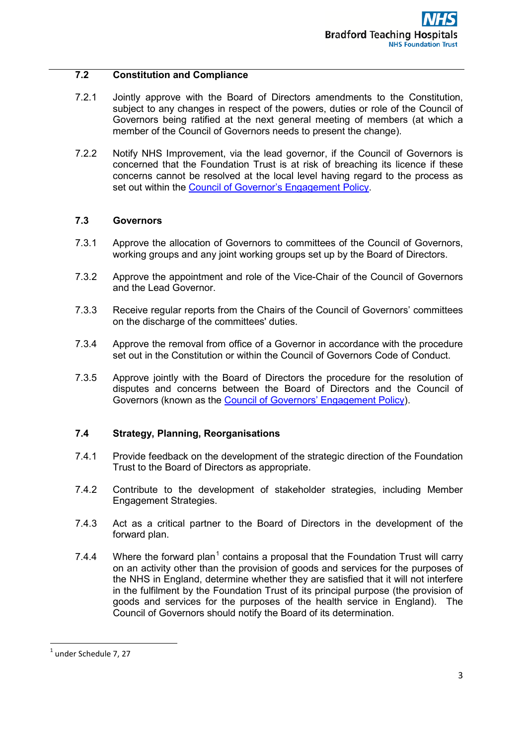# **7.2 Constitution and Compliance**

- 7.2.1 Jointly approve with the Board of Directors amendments to the Constitution, subject to any changes in respect of the powers, duties or role of the Council of Governors being ratified at the next general meeting of members (at which a member of the Council of Governors needs to present the change).
- 7.2.2 Notify NHS Improvement, via the lead governor, if the Council of Governors is concerned that the Foundation Trust is at risk of breaching its licence if these concerns cannot be resolved at the local level having regard to the process as set out within the [Council of Governor's Engagement Policy.](https://www.bradfordhospitals.nhs.uk/wp-content/uploads/2021/12/CG05-2021-Council-of-Governors-Engagement-Policy-done.pdf)

# **7.3 Governors**

- 7.3.1 Approve the allocation of Governors to committees of the Council of Governors, working groups and any joint working groups set up by the Board of Directors.
- 7.3.2 Approve the appointment and role of the Vice-Chair of the Council of Governors and the Lead Governor.
- 7.3.3 Receive regular reports from the Chairs of the Council of Governors' committees on the discharge of the committees' duties.
- 7.3.4 Approve the removal from office of a Governor in accordance with the procedure set out in the Constitution or within the Council of Governors Code of Conduct.
- 7.3.5 Approve jointly with the Board of Directors the procedure for the resolution of disputes and concerns between the Board of Directors and the Council of Governors (known as the [Council of Governors'](https://www.bradfordhospitals.nhs.uk/wp-content/uploads/2021/12/CG05-2021-Council-of-Governors-Engagement-Policy-done.pdf) Engagement Policy).

# **7.4 Strategy, Planning, Reorganisations**

- 7.4.1 Provide feedback on the development of the strategic direction of the Foundation Trust to the Board of Directors as appropriate.
- 7.4.2 Contribute to the development of stakeholder strategies, including Member Engagement Strategies.
- 7.4.3 Act as a critical partner to the Board of Directors in the development of the forward plan.
- 7.4.4 Where the forward plan<sup>[1](#page-2-0)</sup> contains a proposal that the Foundation Trust will carry on an activity other than the provision of goods and services for the purposes of the NHS in England, determine whether they are satisfied that it will not interfere in the fulfilment by the Foundation Trust of its principal purpose (the provision of goods and services for the purposes of the health service in England). The Council of Governors should notify the Board of its determination.

 $\overline{a}$ 

<span id="page-2-0"></span> $<sup>1</sup>$  under Schedule 7, 27</sup>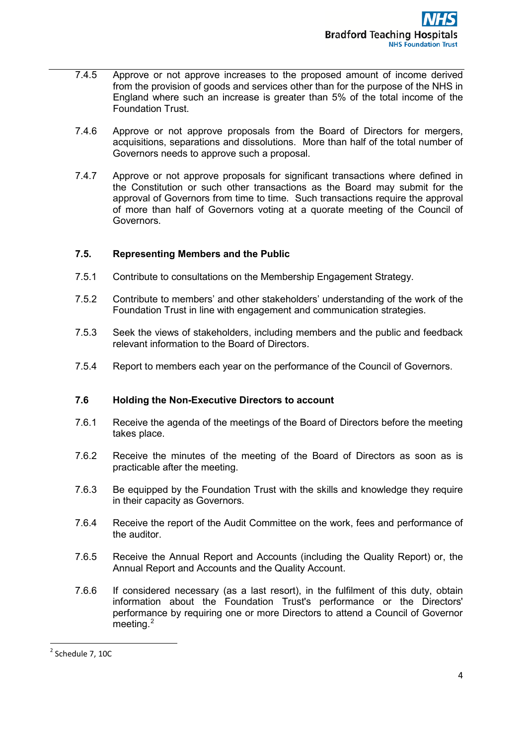- 7.4.5 Approve or not approve increases to the proposed amount of income derived from the provision of goods and services other than for the purpose of the NHS in England where such an increase is greater than 5% of the total income of the Foundation Trust.
- 7.4.6 Approve or not approve proposals from the Board of Directors for mergers, acquisitions, separations and dissolutions. More than half of the total number of Governors needs to approve such a proposal.
- 7.4.7 Approve or not approve proposals for significant transactions where defined in the Constitution or such other transactions as the Board may submit for the approval of Governors from time to time. Such transactions require the approval of more than half of Governors voting at a quorate meeting of the Council of Governors.

# **7.5. Representing Members and the Public**

- 7.5.1 Contribute to consultations on the Membership Engagement Strategy.
- 7.5.2 Contribute to members' and other stakeholders' understanding of the work of the Foundation Trust in line with engagement and communication strategies.
- 7.5.3 Seek the views of stakeholders, including members and the public and feedback relevant information to the Board of Directors.
- 7.5.4 Report to members each year on the performance of the Council of Governors.

# **7.6 Holding the Non-Executive Directors to account**

- 7.6.1 Receive the agenda of the meetings of the Board of Directors before the meeting takes place.
- 7.6.2 Receive the minutes of the meeting of the Board of Directors as soon as is practicable after the meeting.
- 7.6.3 Be equipped by the Foundation Trust with the skills and knowledge they require in their capacity as Governors.
- 7.6.4 Receive the report of the Audit Committee on the work, fees and performance of the auditor.
- 7.6.5 Receive the Annual Report and Accounts (including the Quality Report) or, the Annual Report and Accounts and the Quality Account.
- 7.6.6 If considered necessary (as a last resort), in the fulfilment of this duty, obtain information about the Foundation Trust's performance or the Directors' performance by requiring one or more Directors to attend a Council of Governor meeting.<sup>[2](#page-3-0)</sup>

<span id="page-3-0"></span> $2$  Schedule 7, 10C